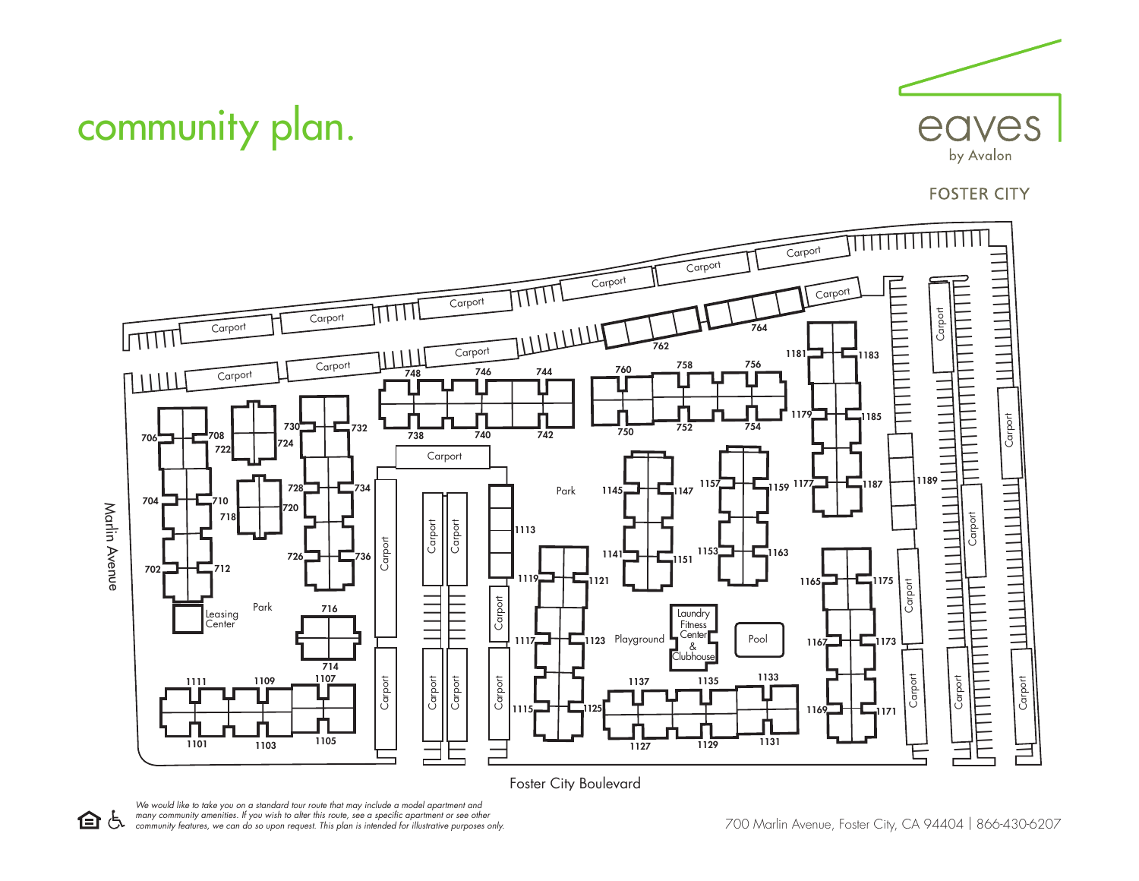

## **FOSTER CITY**



Foster City Boulevard



community plan.